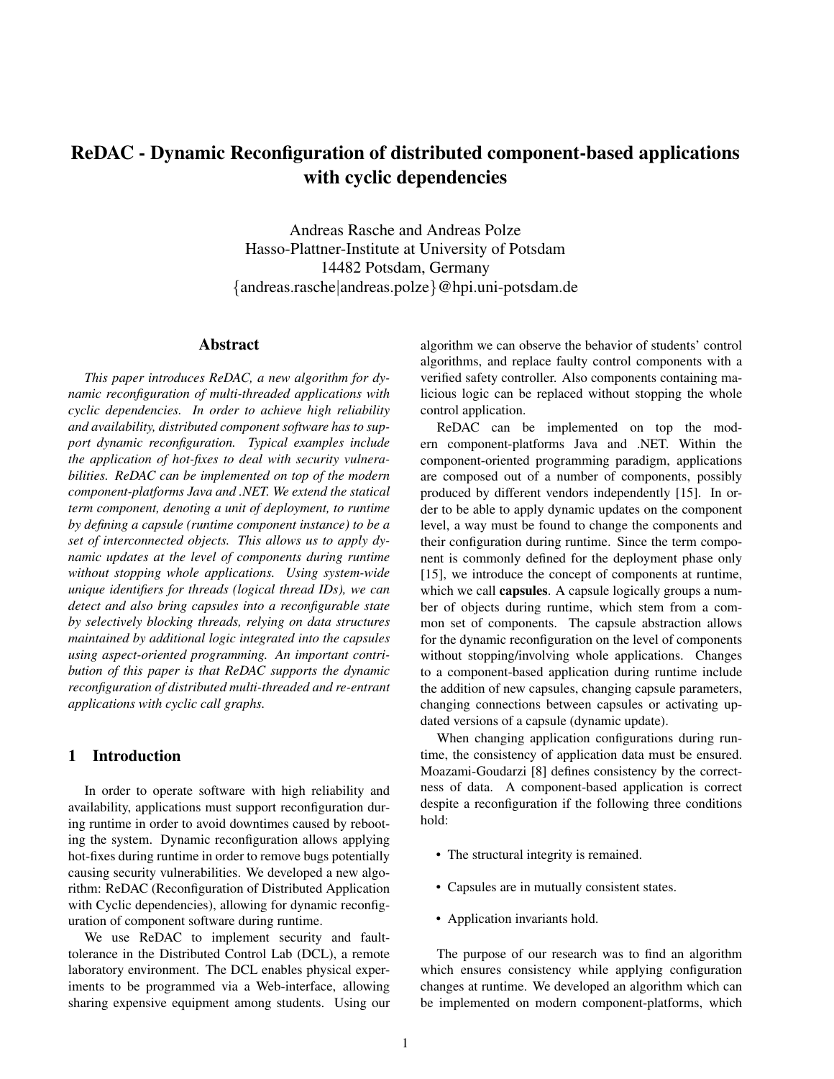# ReDAC - Dynamic Reconfiguration of distributed component-based applications with cyclic dependencies

Andreas Rasche and Andreas Polze Hasso-Plattner-Institute at University of Potsdam 14482 Potsdam, Germany {andreas.rasche|andreas.polze}@hpi.uni-potsdam.de

#### Abstract

*This paper introduces ReDAC, a new algorithm for dynamic reconfiguration of multi-threaded applications with cyclic dependencies. In order to achieve high reliability and availability, distributed component software has to support dynamic reconfiguration. Typical examples include the application of hot-fixes to deal with security vulnerabilities. ReDAC can be implemented on top of the modern component-platforms Java and .NET. We extend the statical term component, denoting a unit of deployment, to runtime by defining a capsule (runtime component instance) to be a set of interconnected objects. This allows us to apply dynamic updates at the level of components during runtime without stopping whole applications. Using system-wide unique identifiers for threads (logical thread IDs), we can detect and also bring capsules into a reconfigurable state by selectively blocking threads, relying on data structures maintained by additional logic integrated into the capsules using aspect-oriented programming. An important contribution of this paper is that ReDAC supports the dynamic reconfiguration of distributed multi-threaded and re-entrant applications with cyclic call graphs.*

# 1 Introduction

In order to operate software with high reliability and availability, applications must support reconfiguration during runtime in order to avoid downtimes caused by rebooting the system. Dynamic reconfiguration allows applying hot-fixes during runtime in order to remove bugs potentially causing security vulnerabilities. We developed a new algorithm: ReDAC (Reconfiguration of Distributed Application with Cyclic dependencies), allowing for dynamic reconfiguration of component software during runtime.

We use ReDAC to implement security and faulttolerance in the Distributed Control Lab (DCL), a remote laboratory environment. The DCL enables physical experiments to be programmed via a Web-interface, allowing sharing expensive equipment among students. Using our algorithm we can observe the behavior of students' control algorithms, and replace faulty control components with a verified safety controller. Also components containing malicious logic can be replaced without stopping the whole control application.

ReDAC can be implemented on top the modern component-platforms Java and .NET. Within the component-oriented programming paradigm, applications are composed out of a number of components, possibly produced by different vendors independently [15]. In order to be able to apply dynamic updates on the component level, a way must be found to change the components and their configuration during runtime. Since the term component is commonly defined for the deployment phase only [15], we introduce the concept of components at runtime, which we call **capsules**. A capsule logically groups a number of objects during runtime, which stem from a common set of components. The capsule abstraction allows for the dynamic reconfiguration on the level of components without stopping/involving whole applications. Changes to a component-based application during runtime include the addition of new capsules, changing capsule parameters, changing connections between capsules or activating updated versions of a capsule (dynamic update).

When changing application configurations during runtime, the consistency of application data must be ensured. Moazami-Goudarzi [8] defines consistency by the correctness of data. A component-based application is correct despite a reconfiguration if the following three conditions hold:

- The structural integrity is remained.
- Capsules are in mutually consistent states.
- Application invariants hold.

The purpose of our research was to find an algorithm which ensures consistency while applying configuration changes at runtime. We developed an algorithm which can be implemented on modern component-platforms, which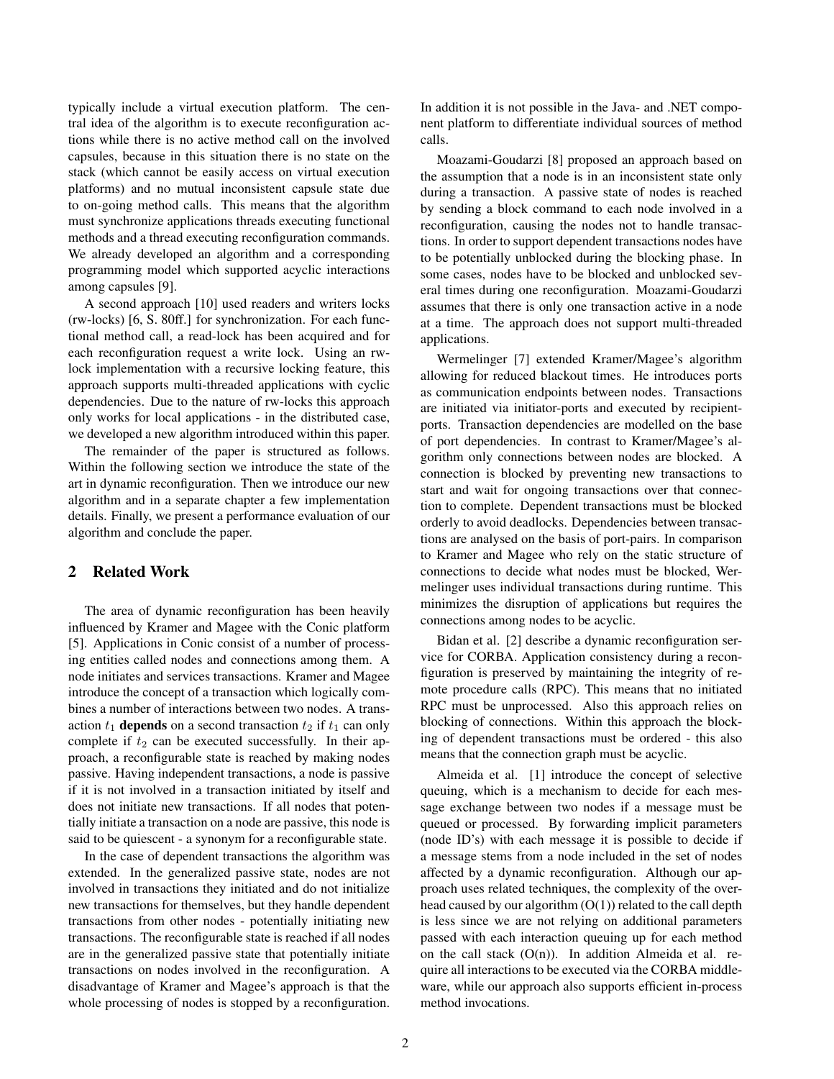typically include a virtual execution platform. The central idea of the algorithm is to execute reconfiguration actions while there is no active method call on the involved capsules, because in this situation there is no state on the stack (which cannot be easily access on virtual execution platforms) and no mutual inconsistent capsule state due to on-going method calls. This means that the algorithm must synchronize applications threads executing functional methods and a thread executing reconfiguration commands. We already developed an algorithm and a corresponding programming model which supported acyclic interactions among capsules [9].

A second approach [10] used readers and writers locks (rw-locks) [6, S. 80ff.] for synchronization. For each functional method call, a read-lock has been acquired and for each reconfiguration request a write lock. Using an rwlock implementation with a recursive locking feature, this approach supports multi-threaded applications with cyclic dependencies. Due to the nature of rw-locks this approach only works for local applications - in the distributed case, we developed a new algorithm introduced within this paper.

The remainder of the paper is structured as follows. Within the following section we introduce the state of the art in dynamic reconfiguration. Then we introduce our new algorithm and in a separate chapter a few implementation details. Finally, we present a performance evaluation of our algorithm and conclude the paper.

# 2 Related Work

The area of dynamic reconfiguration has been heavily influenced by Kramer and Magee with the Conic platform [5]. Applications in Conic consist of a number of processing entities called nodes and connections among them. A node initiates and services transactions. Kramer and Magee introduce the concept of a transaction which logically combines a number of interactions between two nodes. A transaction  $t_1$  depends on a second transaction  $t_2$  if  $t_1$  can only complete if  $t_2$  can be executed successfully. In their approach, a reconfigurable state is reached by making nodes passive. Having independent transactions, a node is passive if it is not involved in a transaction initiated by itself and does not initiate new transactions. If all nodes that potentially initiate a transaction on a node are passive, this node is said to be quiescent - a synonym for a reconfigurable state.

In the case of dependent transactions the algorithm was extended. In the generalized passive state, nodes are not involved in transactions they initiated and do not initialize new transactions for themselves, but they handle dependent transactions from other nodes - potentially initiating new transactions. The reconfigurable state is reached if all nodes are in the generalized passive state that potentially initiate transactions on nodes involved in the reconfiguration. A disadvantage of Kramer and Magee's approach is that the whole processing of nodes is stopped by a reconfiguration.

In addition it is not possible in the Java- and .NET component platform to differentiate individual sources of method calls.

Moazami-Goudarzi [8] proposed an approach based on the assumption that a node is in an inconsistent state only during a transaction. A passive state of nodes is reached by sending a block command to each node involved in a reconfiguration, causing the nodes not to handle transactions. In order to support dependent transactions nodes have to be potentially unblocked during the blocking phase. In some cases, nodes have to be blocked and unblocked several times during one reconfiguration. Moazami-Goudarzi assumes that there is only one transaction active in a node at a time. The approach does not support multi-threaded applications.

Wermelinger [7] extended Kramer/Magee's algorithm allowing for reduced blackout times. He introduces ports as communication endpoints between nodes. Transactions are initiated via initiator-ports and executed by recipientports. Transaction dependencies are modelled on the base of port dependencies. In contrast to Kramer/Magee's algorithm only connections between nodes are blocked. A connection is blocked by preventing new transactions to start and wait for ongoing transactions over that connection to complete. Dependent transactions must be blocked orderly to avoid deadlocks. Dependencies between transactions are analysed on the basis of port-pairs. In comparison to Kramer and Magee who rely on the static structure of connections to decide what nodes must be blocked, Wermelinger uses individual transactions during runtime. This minimizes the disruption of applications but requires the connections among nodes to be acyclic.

Bidan et al. [2] describe a dynamic reconfiguration service for CORBA. Application consistency during a reconfiguration is preserved by maintaining the integrity of remote procedure calls (RPC). This means that no initiated RPC must be unprocessed. Also this approach relies on blocking of connections. Within this approach the blocking of dependent transactions must be ordered - this also means that the connection graph must be acyclic.

Almeida et al. [1] introduce the concept of selective queuing, which is a mechanism to decide for each message exchange between two nodes if a message must be queued or processed. By forwarding implicit parameters (node ID's) with each message it is possible to decide if a message stems from a node included in the set of nodes affected by a dynamic reconfiguration. Although our approach uses related techniques, the complexity of the overhead caused by our algorithm  $(O(1))$  related to the call depth is less since we are not relying on additional parameters passed with each interaction queuing up for each method on the call stack  $(O(n))$ . In addition Almeida et al. require all interactions to be executed via the CORBA middleware, while our approach also supports efficient in-process method invocations.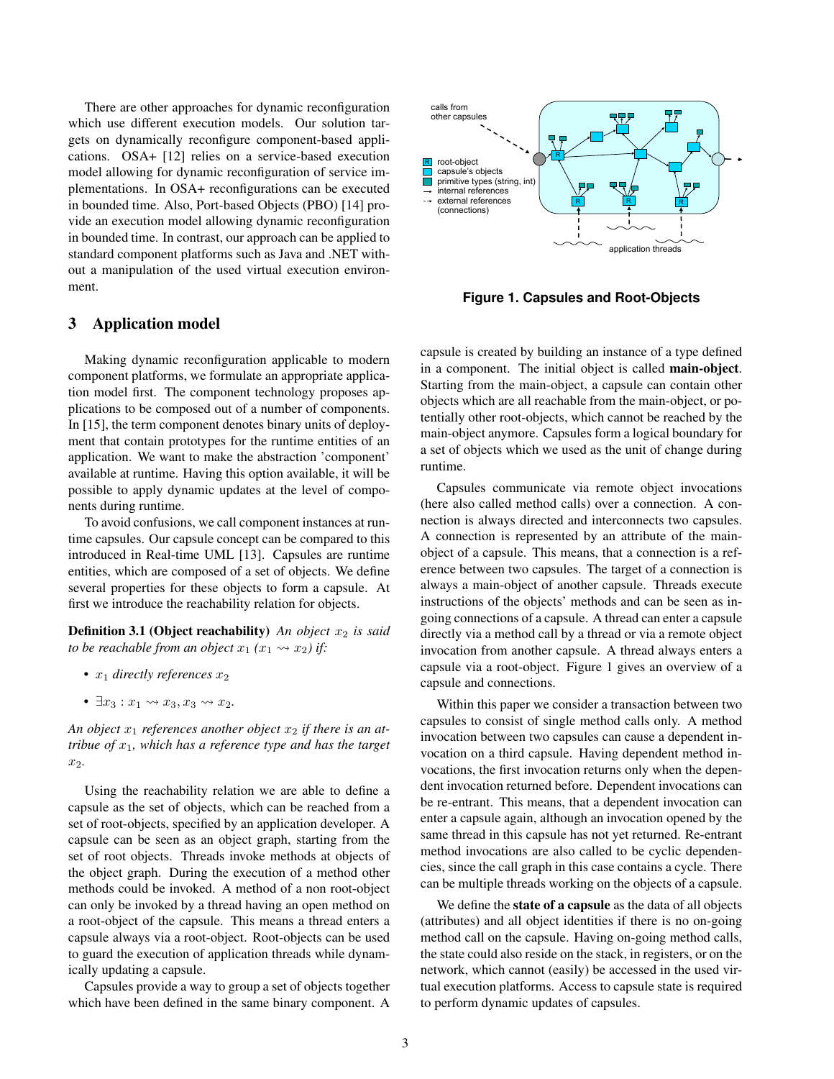There are other approaches for dynamic reconfiguration which use different execution models. Our solution targets on dynamically reconfigure component-based applications. OSA+ [12] relies on a service-based execution model allowing for dynamic reconfiguration of service implementations. In OSA+ reconfigurations can be executed in bounded time. Also, Port-based Objects (PBO) [14] provide an execution model allowing dynamic reconfiguration in bounded time. In contrast, our approach can be applied to standard component platforms such as Java and .NET without a manipulation of the used virtual execution environment.

# 3 Application model

Making dynamic reconfiguration applicable to modern component platforms, we formulate an appropriate application model first. The component technology proposes applications to be composed out of a number of components. In [15], the term component denotes binary units of deployment that contain prototypes for the runtime entities of an application. We want to make the abstraction 'component' available at runtime. Having this option available, it will be possible to apply dynamic updates at the level of components during runtime.

To avoid confusions, we call component instances at runtime capsules. Our capsule concept can be compared to this introduced in Real-time UML [13]. Capsules are runtime entities, which are composed of a set of objects. We define several properties for these objects to form a capsule. At first we introduce the reachability relation for objects.

**Definition 3.1 (Object reachability)** *An object*  $x_2$  *is said to be reachable from an object*  $x_1$  ( $x_1 \rightsquigarrow x_2$ ) if:

- $x_1$  *directly references*  $x_2$
- $\exists x_3 : x_1 \rightsquigarrow x_3, x_3 \rightsquigarrow x_2.$

An object  $x_1$  references another object  $x_2$  if there is an at*tribue of*  $x_1$ *, which has a reference type and has the target* x2*.*

Using the reachability relation we are able to define a capsule as the set of objects, which can be reached from a set of root-objects, specified by an application developer. A capsule can be seen as an object graph, starting from the set of root objects. Threads invoke methods at objects of the object graph. During the execution of a method other methods could be invoked. A method of a non root-object can only be invoked by a thread having an open method on a root-object of the capsule. This means a thread enters a capsule always via a root-object. Root-objects can be used to guard the execution of application threads while dynamically updating a capsule.

Capsules provide a way to group a set of objects together which have been defined in the same binary component. A



**Figure 1. Capsules and Root-Objects**

capsule is created by building an instance of a type defined in a component. The initial object is called main-object. Starting from the main-object, a capsule can contain other objects which are all reachable from the main-object, or potentially other root-objects, which cannot be reached by the main-object anymore. Capsules form a logical boundary for a set of objects which we used as the unit of change during runtime.

Capsules communicate via remote object invocations (here also called method calls) over a connection. A connection is always directed and interconnects two capsules. A connection is represented by an attribute of the mainobject of a capsule. This means, that a connection is a reference between two capsules. The target of a connection is always a main-object of another capsule. Threads execute instructions of the objects' methods and can be seen as ingoing connections of a capsule. A thread can enter a capsule directly via a method call by a thread or via a remote object invocation from another capsule. A thread always enters a capsule via a root-object. Figure 1 gives an overview of a capsule and connections.

Within this paper we consider a transaction between two capsules to consist of single method calls only. A method invocation between two capsules can cause a dependent invocation on a third capsule. Having dependent method invocations, the first invocation returns only when the dependent invocation returned before. Dependent invocations can be re-entrant. This means, that a dependent invocation can enter a capsule again, although an invocation opened by the same thread in this capsule has not yet returned. Re-entrant method invocations are also called to be cyclic dependencies, since the call graph in this case contains a cycle. There can be multiple threads working on the objects of a capsule.

We define the state of a capsule as the data of all objects (attributes) and all object identities if there is no on-going method call on the capsule. Having on-going method calls, the state could also reside on the stack, in registers, or on the network, which cannot (easily) be accessed in the used virtual execution platforms. Access to capsule state is required to perform dynamic updates of capsules.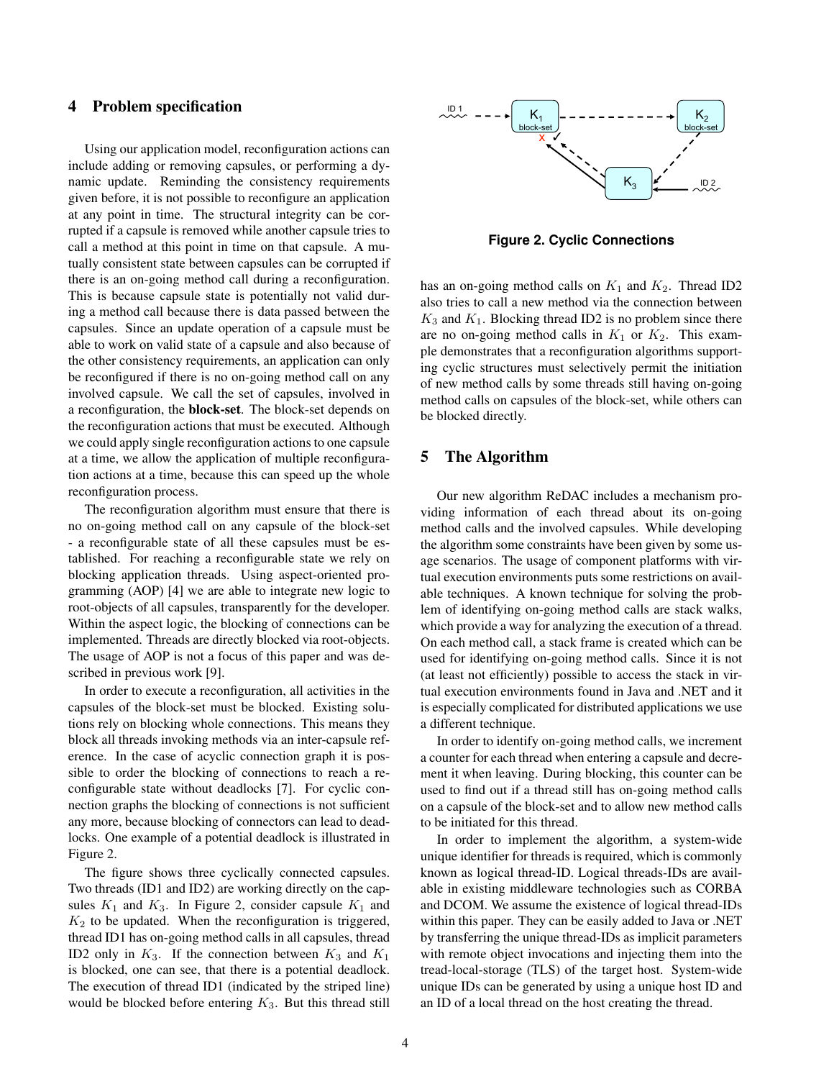## 4 Problem specification

Using our application model, reconfiguration actions can include adding or removing capsules, or performing a dynamic update. Reminding the consistency requirements given before, it is not possible to reconfigure an application at any point in time. The structural integrity can be corrupted if a capsule is removed while another capsule tries to call a method at this point in time on that capsule. A mutually consistent state between capsules can be corrupted if there is an on-going method call during a reconfiguration. This is because capsule state is potentially not valid during a method call because there is data passed between the capsules. Since an update operation of a capsule must be able to work on valid state of a capsule and also because of the other consistency requirements, an application can only be reconfigured if there is no on-going method call on any involved capsule. We call the set of capsules, involved in a reconfiguration, the block-set. The block-set depends on the reconfiguration actions that must be executed. Although we could apply single reconfiguration actions to one capsule at a time, we allow the application of multiple reconfiguration actions at a time, because this can speed up the whole reconfiguration process.

The reconfiguration algorithm must ensure that there is no on-going method call on any capsule of the block-set - a reconfigurable state of all these capsules must be established. For reaching a reconfigurable state we rely on blocking application threads. Using aspect-oriented programming (AOP) [4] we are able to integrate new logic to root-objects of all capsules, transparently for the developer. Within the aspect logic, the blocking of connections can be implemented. Threads are directly blocked via root-objects. The usage of AOP is not a focus of this paper and was described in previous work [9].

In order to execute a reconfiguration, all activities in the capsules of the block-set must be blocked. Existing solutions rely on blocking whole connections. This means they block all threads invoking methods via an inter-capsule reference. In the case of acyclic connection graph it is possible to order the blocking of connections to reach a reconfigurable state without deadlocks [7]. For cyclic connection graphs the blocking of connections is not sufficient any more, because blocking of connectors can lead to deadlocks. One example of a potential deadlock is illustrated in Figure 2.

The figure shows three cyclically connected capsules. Two threads (ID1 and ID2) are working directly on the capsules  $K_1$  and  $K_3$ . In Figure 2, consider capsule  $K_1$  and  $K_2$  to be updated. When the reconfiguration is triggered, thread ID1 has on-going method calls in all capsules, thread ID2 only in  $K_3$ . If the connection between  $K_3$  and  $K_1$ is blocked, one can see, that there is a potential deadlock. The execution of thread ID1 (indicated by the striped line) would be blocked before entering  $K_3$ . But this thread still



**Figure 2. Cyclic Connections**

has an on-going method calls on  $K_1$  and  $K_2$ . Thread ID2 also tries to call a new method via the connection between  $K_3$  and  $K_1$ . Blocking thread ID2 is no problem since there are no on-going method calls in  $K_1$  or  $K_2$ . This example demonstrates that a reconfiguration algorithms supporting cyclic structures must selectively permit the initiation of new method calls by some threads still having on-going method calls on capsules of the block-set, while others can be blocked directly.

# 5 The Algorithm

Our new algorithm ReDAC includes a mechanism providing information of each thread about its on-going method calls and the involved capsules. While developing the algorithm some constraints have been given by some usage scenarios. The usage of component platforms with virtual execution environments puts some restrictions on available techniques. A known technique for solving the problem of identifying on-going method calls are stack walks, which provide a way for analyzing the execution of a thread. On each method call, a stack frame is created which can be used for identifying on-going method calls. Since it is not (at least not efficiently) possible to access the stack in virtual execution environments found in Java and .NET and it is especially complicated for distributed applications we use a different technique.

In order to identify on-going method calls, we increment a counter for each thread when entering a capsule and decrement it when leaving. During blocking, this counter can be used to find out if a thread still has on-going method calls on a capsule of the block-set and to allow new method calls to be initiated for this thread.

In order to implement the algorithm, a system-wide unique identifier for threads is required, which is commonly known as logical thread-ID. Logical threads-IDs are available in existing middleware technologies such as CORBA and DCOM. We assume the existence of logical thread-IDs within this paper. They can be easily added to Java or .NET by transferring the unique thread-IDs as implicit parameters with remote object invocations and injecting them into the tread-local-storage (TLS) of the target host. System-wide unique IDs can be generated by using a unique host ID and an ID of a local thread on the host creating the thread.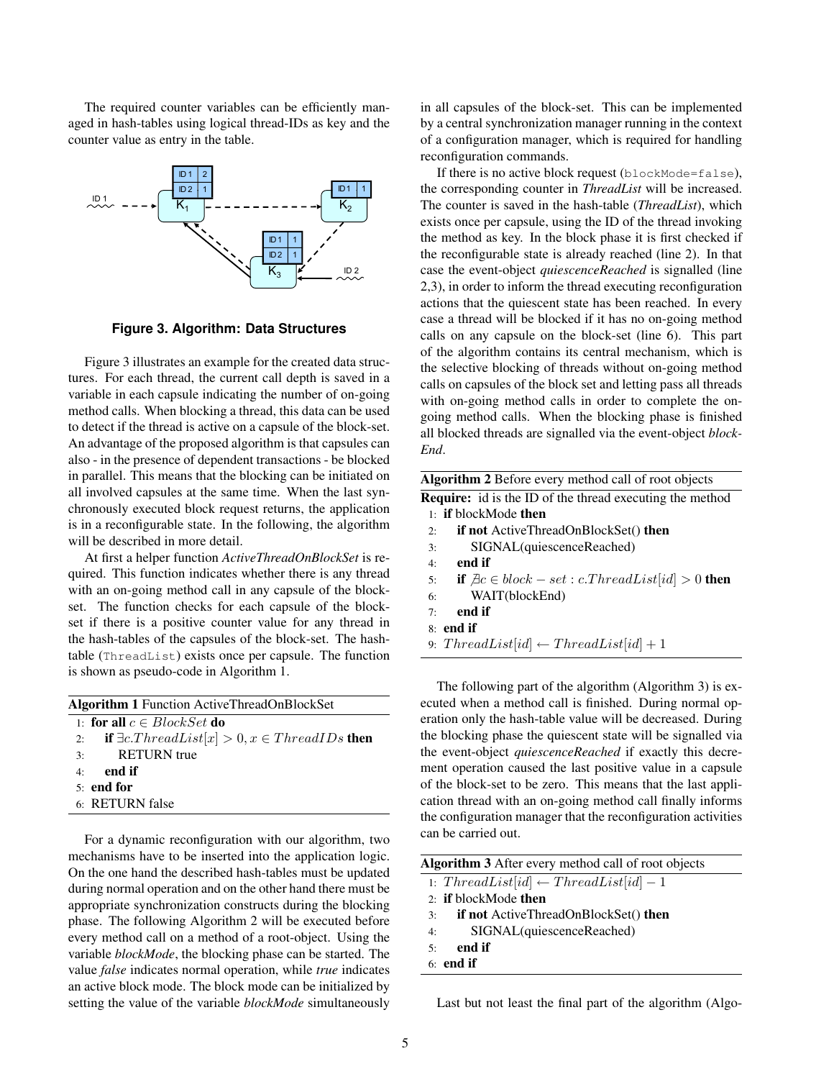The required counter variables can be efficiently managed in hash-tables using logical thread-IDs as key and the counter value as entry in the table.



**Figure 3. Algorithm: Data Structures**

Figure 3 illustrates an example for the created data structures. For each thread, the current call depth is saved in a variable in each capsule indicating the number of on-going method calls. When blocking a thread, this data can be used to detect if the thread is active on a capsule of the block-set. An advantage of the proposed algorithm is that capsules can also - in the presence of dependent transactions - be blocked in parallel. This means that the blocking can be initiated on all involved capsules at the same time. When the last synchronously executed block request returns, the application is in a reconfigurable state. In the following, the algorithm will be described in more detail.

At first a helper function *ActiveThreadOnBlockSet* is required. This function indicates whether there is any thread with an on-going method call in any capsule of the blockset. The function checks for each capsule of the blockset if there is a positive counter value for any thread in the hash-tables of the capsules of the block-set. The hashtable (ThreadList) exists once per capsule. The function is shown as pseudo-code in Algorithm 1.

| <b>Algorithm 1</b> Function ActiveThreadOnBlockSet         |  |  |
|------------------------------------------------------------|--|--|
| 1: for all $c \in BlockSet$ do                             |  |  |
| 2: if $\exists c. ThreadList[x] > 0, x \in ThreadIDs$ then |  |  |
| <b>RETURN</b> true<br>3:                                   |  |  |
| $4:$ end if                                                |  |  |
| $5:$ end for                                               |  |  |
| 6: RETURN false                                            |  |  |
|                                                            |  |  |

For a dynamic reconfiguration with our algorithm, two mechanisms have to be inserted into the application logic. On the one hand the described hash-tables must be updated during normal operation and on the other hand there must be appropriate synchronization constructs during the blocking phase. The following Algorithm 2 will be executed before every method call on a method of a root-object. Using the variable *blockMode*, the blocking phase can be started. The value *false* indicates normal operation, while *true* indicates an active block mode. The block mode can be initialized by setting the value of the variable *blockMode* simultaneously

in all capsules of the block-set. This can be implemented by a central synchronization manager running in the context of a configuration manager, which is required for handling reconfiguration commands.

If there is no active block request (blockMode=false), the corresponding counter in *ThreadList* will be increased. The counter is saved in the hash-table (*ThreadList*), which exists once per capsule, using the ID of the thread invoking the method as key. In the block phase it is first checked if the reconfigurable state is already reached (line 2). In that case the event-object *quiescenceReached* is signalled (line 2,3), in order to inform the thread executing reconfiguration actions that the quiescent state has been reached. In every case a thread will be blocked if it has no on-going method calls on any capsule on the block-set (line 6). This part of the algorithm contains its central mechanism, which is the selective blocking of threads without on-going method calls on capsules of the block set and letting pass all threads with on-going method calls in order to complete the ongoing method calls. When the blocking phase is finished all blocked threads are signalled via the event-object *block-End*.

| Algorithm 2 Before every method call of root objects |
|------------------------------------------------------|
|                                                      |

Require: id is the ID of the thread executing the method 1: if blockMode then

- 2: if not ActiveThreadOnBlockSet() then
- 3: SIGNAL(quiescenceReached)
- 4: end if
- 5: if  $\exists c \in block set : c. ThreadList(id] > 0$  then
- 6: WAIT(blockEnd)
- 7: end if
- 8: end if
- 9:  $ThreadList(id] \leftarrow ThreadList(id] + 1$

The following part of the algorithm (Algorithm 3) is executed when a method call is finished. During normal operation only the hash-table value will be decreased. During the blocking phase the quiescent state will be signalled via the event-object *quiescenceReached* if exactly this decrement operation caused the last positive value in a capsule of the block-set to be zero. This means that the last application thread with an on-going method call finally informs the configuration manager that the reconfiguration activities can be carried out.

| Algorithm 3 After every method call of root objects      |  |  |
|----------------------------------------------------------|--|--|
| 1: $ThreadList(id] \leftarrow ThreadList(id] - 1$        |  |  |
| 2: <b>if</b> block Mode then                             |  |  |
| <b>if not</b> ActiveThreadOnBlockSet() <b>then</b><br>3: |  |  |
| SIGNAL(quiescenceReached)<br>4:                          |  |  |
| end if<br>5:                                             |  |  |

6: end if

Last but not least the final part of the algorithm (Algo-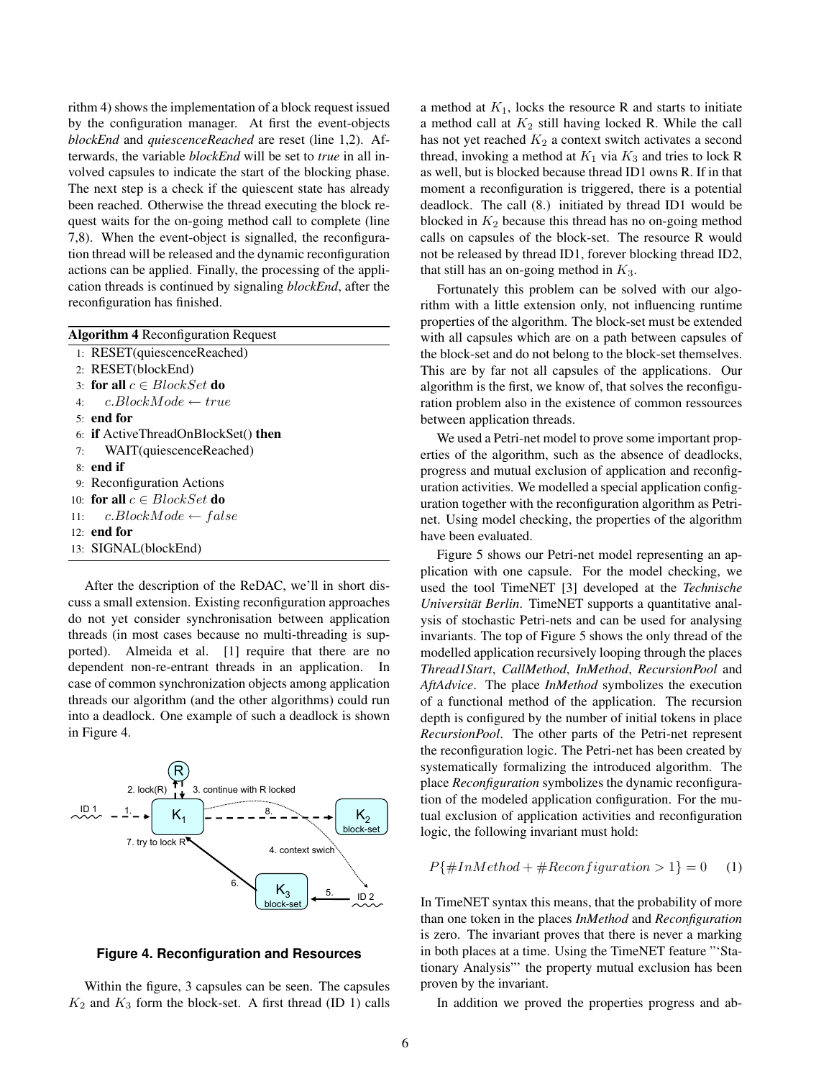rithm 4) shows the implementation of a block request issued by the configuration manager. At first the event-objects *blockEnd* and *quiescenceReached* are reset (line 1,2). Afterwards, the variable *blockEnd* will be set to *true* in all involved capsules to indicate the start of the blocking phase. The next step is a check if the quiescent state has already been reached. Otherwise the thread executing the block request waits for the on-going method call to complete (line 7,8). When the event-object is signalled, the reconfiguration thread will be released and the dynamic reconfiguration actions can be applied. Finally, the processing of the application threads is continued by signaling *blockEnd*, after the reconfiguration has finished.

| <b>Algorithm 4 Reconfiguration Request</b>        |
|---------------------------------------------------|
| 1: RESET(quiescenceReached)                       |
| 2: RESET(blockEnd)                                |
| 3: for all $c \in BlockSet$ do                    |
| 4: c.BlockMode $\leftarrow true$                  |
| $51$ end for                                      |
| 6: <b>if</b> ActiveThreadOnBlockSet() <b>then</b> |
| 7: WAIT(quiescenceReached)                        |
| 8: end if                                         |
| 9: Reconfiguration Actions                        |
| 10: for all $c \in BlockSet$ do                   |
| 11: c.BlockMode $\leftarrow$ false                |
| 12 <b>end for</b>                                 |
| 13: SIGNAL(blockEnd)                              |
|                                                   |

After the description of the ReDAC, we'll in short discuss a small extension. Existing reconfiguration approaches do not yet consider synchronisation between application threads (in most cases because no multi-threading is supported). Almeida et al. [1] require that there are no dependent non-re-entrant threads in an application. In case of common synchronization objects among application threads our algorithm (and the other algorithms) could run into a deadlock. One example of such a deadlock is shown in Figure 4.



**Figure 4. Reconfiguration and Resources**

Within the figure, 3 capsules can be seen. The capsules  $K_2$  and  $K_3$  form the block-set. A first thread (ID 1) calls

a method at  $K_1$ , locks the resource R and starts to initiate a method call at  $K_2$  still having locked R. While the call has not yet reached  $K_2$  a context switch activates a second thread, invoking a method at  $K_1$  via  $K_3$  and tries to lock R as well, but is blocked because thread ID1 owns R. If in that moment a reconfiguration is triggered, there is a potential deadlock. The call (8.) initiated by thread ID1 would be blocked in  $K_2$  because this thread has no on-going method calls on capsules of the block-set. The resource R would not be released by thread ID1, forever blocking thread ID2, that still has an on-going method in  $K_3$ .

Fortunately this problem can be solved with our algorithm with a little extension only, not influencing runtime properties of the algorithm. The block-set must be extended with all capsules which are on a path between capsules of the block-set and do not belong to the block-set themselves. This are by far not all capsules of the applications. Our algorithm is the first, we know of, that solves the reconfiguration problem also in the existence of common ressources between application threads.

We used a Petri-net model to prove some important properties of the algorithm, such as the absence of deadlocks, progress and mutual exclusion of application and reconfiguration activities. We modelled a special application configuration together with the reconfiguration algorithm as Petrinet. Using model checking, the properties of the algorithm have been evaluated.

Figure 5 shows our Petri-net model representing an application with one capsule. For the model checking, we used the tool TimeNET [3] developed at the *Technische Universität Berlin*. TimeNET supports a quantitative analysis of stochastic Petri-nets and can be used for analysing invariants. The top of Figure 5 shows the only thread of the modelled application recursively looping through the places *Thread1Start*, *CallMethod*, *InMethod*, *RecursionPool* and *AftAdvice*. The place *InMethod* symbolizes the execution of a functional method of the application. The recursion depth is configured by the number of initial tokens in place *RecursionPool*. The other parts of the Petri-net represent the reconfiguration logic. The Petri-net has been created by systematically formalizing the introduced algorithm. The place *Reconfiguration* symbolizes the dynamic reconfiguration of the modeled application configuration. For the mutual exclusion of application activities and reconfiguration logic, the following invariant must hold:

$$
P\{\#InMethod + \#Reconfiguration > 1\} = 0 \tag{1}
$$

In TimeNET syntax this means, that the probability of more than one token in the places *InMethod* and *Reconfiguration* is zero. The invariant proves that there is never a marking in both places at a time. Using the TimeNET feature "'Stationary Analysis"' the property mutual exclusion has been proven by the invariant.

In addition we proved the properties progress and ab-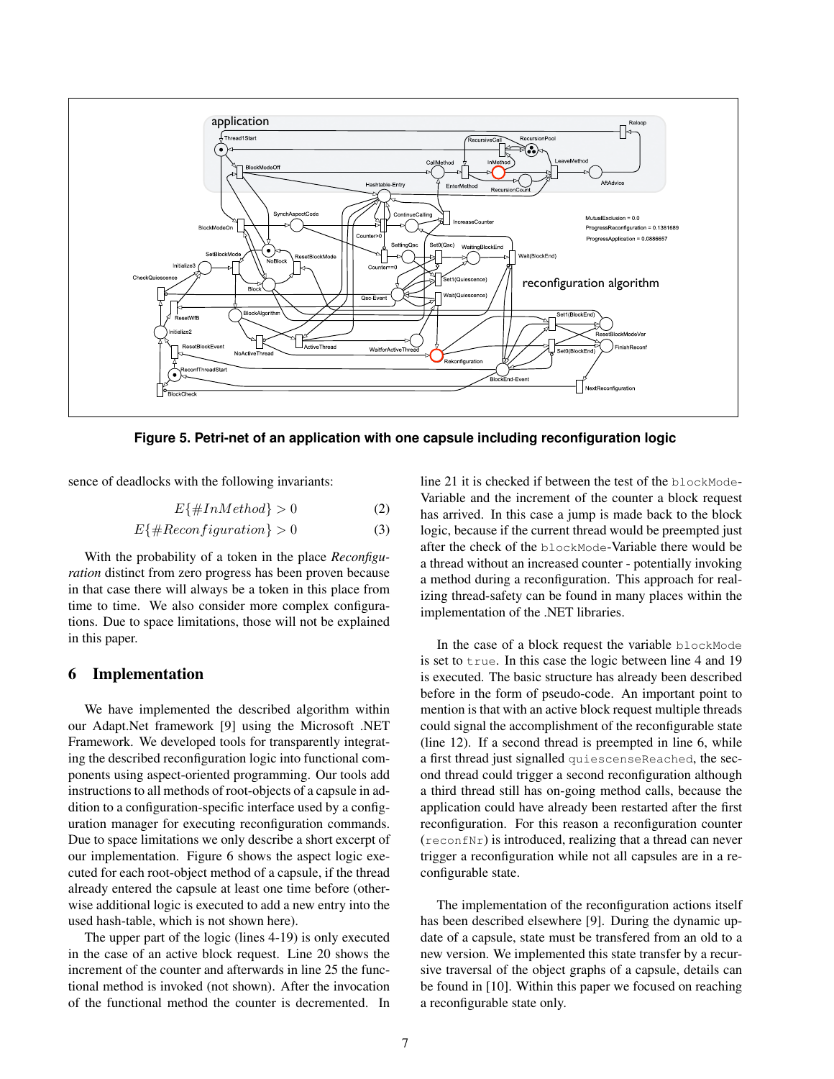

**Figure 5. Petri-net of an application with one capsule including reconfiguration logic**

sence of deadlocks with the following invariants:

$$
E\{\#InMethod\} > 0\tag{2}
$$

$$
E\{\#Reconfiguration\} > 0\tag{3}
$$

With the probability of a token in the place *Reconfiguration* distinct from zero progress has been proven because in that case there will always be a token in this place from time to time. We also consider more complex configurations. Due to space limitations, those will not be explained in this paper.

#### 6 Implementation

We have implemented the described algorithm within our Adapt.Net framework [9] using the Microsoft .NET Framework. We developed tools for transparently integrating the described reconfiguration logic into functional components using aspect-oriented programming. Our tools add instructions to all methods of root-objects of a capsule in addition to a configuration-specific interface used by a configuration manager for executing reconfiguration commands. Due to space limitations we only describe a short excerpt of our implementation. Figure 6 shows the aspect logic executed for each root-object method of a capsule, if the thread already entered the capsule at least one time before (otherwise additional logic is executed to add a new entry into the used hash-table, which is not shown here).

The upper part of the logic (lines 4-19) is only executed in the case of an active block request. Line 20 shows the increment of the counter and afterwards in line 25 the functional method is invoked (not shown). After the invocation of the functional method the counter is decremented. In

line 21 it is checked if between the test of the blockMode-Variable and the increment of the counter a block request has arrived. In this case a jump is made back to the block logic, because if the current thread would be preempted just after the check of the blockMode-Variable there would be a thread without an increased counter - potentially invoking a method during a reconfiguration. This approach for realizing thread-safety can be found in many places within the implementation of the .NET libraries.

In the case of a block request the variable blockMode is set to true. In this case the logic between line 4 and 19 is executed. The basic structure has already been described before in the form of pseudo-code. An important point to mention is that with an active block request multiple threads could signal the accomplishment of the reconfigurable state (line 12). If a second thread is preempted in line 6, while a first thread just signalled quiescenseReached, the second thread could trigger a second reconfiguration although a third thread still has on-going method calls, because the application could have already been restarted after the first reconfiguration. For this reason a reconfiguration counter (reconfNr) is introduced, realizing that a thread can never trigger a reconfiguration while not all capsules are in a reconfigurable state.

The implementation of the reconfiguration actions itself has been described elsewhere [9]. During the dynamic update of a capsule, state must be transfered from an old to a new version. We implemented this state transfer by a recursive traversal of the object graphs of a capsule, details can be found in [10]. Within this paper we focused on reaching a reconfigurable state only.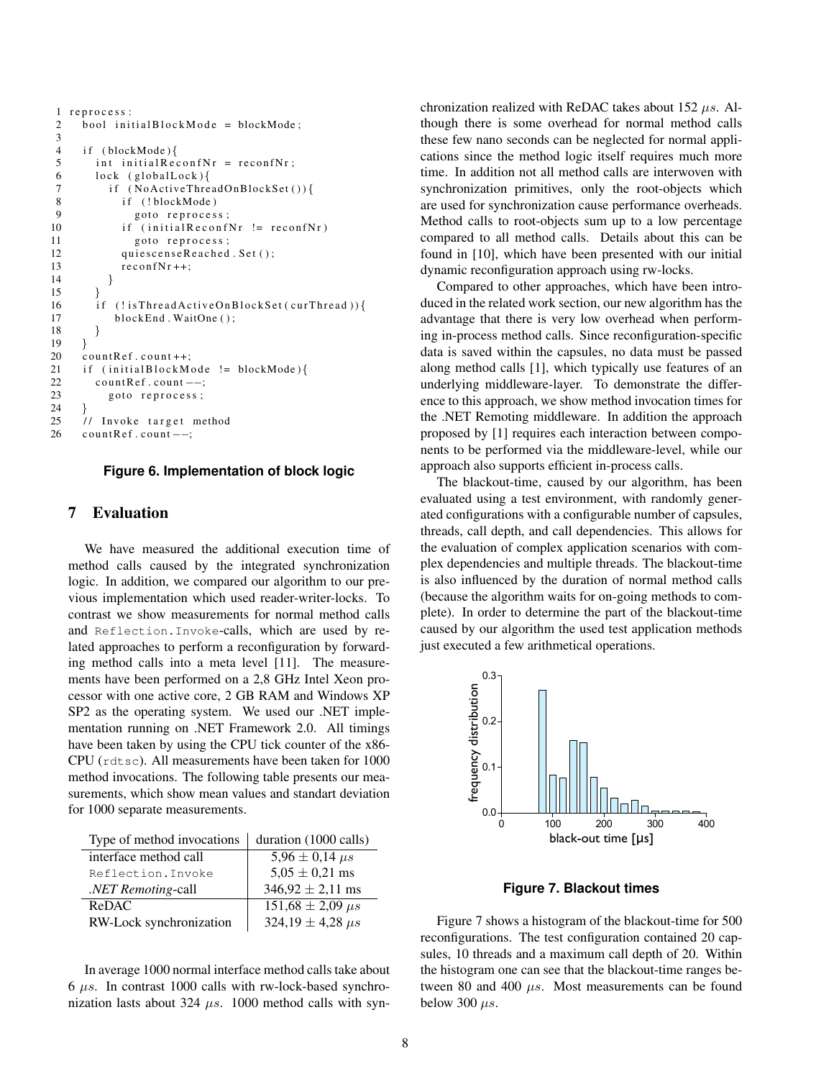```
1 reprocess:
2 \text{ bool initialBlockMode} = \text{blockMode};3
4 if (blockMode){
5 int initial ReconfNr = reconfNr;
6 \quad \text{lock} \quad (\text{globalLock})7 if (NoActiveThreadOnBlockSet()){<br>8 if (!blockMode)
             if (!blockMode)
9 goto reprocess;<br>10 if (initialReconf
             if (initial Reconf Nr != reconf Nr)
11 goto reprocess;
12 qui e s cense Reached . Set ();
13 reconfNr++;14 }
\begin{array}{cc} 15 & \phantom{0} \\ 16 & \phantom{0} \text{if} \end{array}16 if (!isThreadActiveOnBlockSet(curThread))17 blockEnd. WaitOne ();
18 }
19 }
20 countRef.count++;
21 if (initalBlockMode != blockMode)22 countRef.count ––;<br>23 goto reprocess;
          goto reprocess;
24 }
25 // Invoke target method
26 countRef.count ––;
```
#### **Figure 6. Implementation of block logic**

#### 7 Evaluation

We have measured the additional execution time of method calls caused by the integrated synchronization logic. In addition, we compared our algorithm to our previous implementation which used reader-writer-locks. To contrast we show measurements for normal method calls and Reflection.Invoke-calls, which are used by related approaches to perform a reconfiguration by forwarding method calls into a meta level [11]. The measurements have been performed on a 2,8 GHz Intel Xeon processor with one active core, 2 GB RAM and Windows XP SP2 as the operating system. We used our .NET implementation running on .NET Framework 2.0. All timings have been taken by using the CPU tick counter of the x86- CPU (rdtsc). All measurements have been taken for 1000 method invocations. The following table presents our measurements, which show mean values and standart deviation for 1000 separate measurements.

| Type of method invocations $\vert$ duration (1000 calls) |  |
|----------------------------------------------------------|--|
|----------------------------------------------------------|--|

| interface method call      | $5,96 \pm 0,14 \,\mu s$   |
|----------------------------|---------------------------|
| Reflection. Invoke         | $5.05 \pm 0.21$ ms        |
| . <i>NET Remoting-call</i> | $346,92 \pm 2,11$ ms      |
| <b>ReDAC</b>               | $151,68 \pm 2,09 \,\mu s$ |
| RW-Lock synchronization    | $324,19 \pm 4,28 \,\mu s$ |

In average 1000 normal interface method calls take about  $6 \mu s$ . In contrast 1000 calls with rw-lock-based synchronization lasts about 324  $\mu s$ . 1000 method calls with synchronization realized with ReDAC takes about  $152 \mu s$ . Although there is some overhead for normal method calls these few nano seconds can be neglected for normal applications since the method logic itself requires much more time. In addition not all method calls are interwoven with synchronization primitives, only the root-objects which are used for synchronization cause performance overheads. Method calls to root-objects sum up to a low percentage compared to all method calls. Details about this can be found in [10], which have been presented with our initial dynamic reconfiguration approach using rw-locks.

Compared to other approaches, which have been introduced in the related work section, our new algorithm has the advantage that there is very low overhead when performing in-process method calls. Since reconfiguration-specific data is saved within the capsules, no data must be passed along method calls [1], which typically use features of an underlying middleware-layer. To demonstrate the difference to this approach, we show method invocation times for the .NET Remoting middleware. In addition the approach proposed by [1] requires each interaction between components to be performed via the middleware-level, while our approach also supports efficient in-process calls.

The blackout-time, caused by our algorithm, has been evaluated using a test environment, with randomly generated configurations with a configurable number of capsules, threads, call depth, and call dependencies. This allows for the evaluation of complex application scenarios with complex dependencies and multiple threads. The blackout-time is also influenced by the duration of normal method calls (because the algorithm waits for on-going methods to complete). In order to determine the part of the blackout-time caused by our algorithm the used test application methods just executed a few arithmetical operations.



**Figure 7. Blackout times**

Figure 7 shows a histogram of the blackout-time for 500 reconfigurations. The test configuration contained 20 capsules, 10 threads and a maximum call depth of 20. Within the histogram one can see that the blackout-time ranges between 80 and 400  $\mu s$ . Most measurements can be found below 300  $\mu s$ .